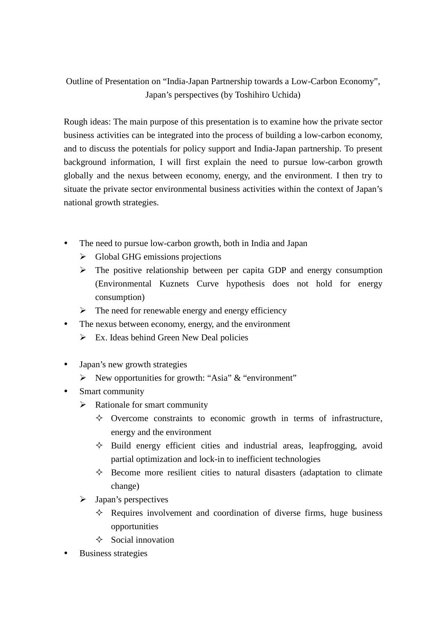## Outline of Presentation on "India-Japan Partnership towards a Low-Carbon Economy", Japan's perspectives (by Toshihiro Uchida)

Rough ideas: The main purpose of this presentation is to examine how the private sector business activities can be integrated into the process of building a low-carbon economy, and to discuss the potentials for policy support and India-Japan partnership. To present background information, I will first explain the need to pursue low-carbon growth globally and the nexus between economy, energy, and the environment. I then try to situate the private sector environmental business activities within the context of Japan's national growth strategies.

- The need to pursue low-carbon growth, both in India and Japan
	- > Global GHG emissions projections
	- > The positive relationship between per capita GDP and energy consumption (Environmental Kuznets Curve hypothesis does not hold for energy consumption)
	- > The need for renewable energy and energy efficiency
- The nexus between economy, energy, and the environment
	- > Ex. Ideas behind Green New Deal policies
- Japan's new growth strategies
	- > New opportunities for growth: "Asia" & "environment"
- Smart community
	- > Rationale for smart community
		- $\Diamond$  Overcome constraints to economic growth in terms of infrastructure, energy and the environment
		- $\Diamond$  Build energy efficient cities and industrial areas, leapfrogging, avoid partial optimization and lock-in to inefficient technologies
		- $\Diamond$  Become more resilient cities to natural disasters (adaptation to climate change)
	- > Japan's perspectives
		- $\Diamond$  Requires involvement and coordination of diverse firms, huge business opportunities
		- $\Diamond$  Social innovation
- Business strategies